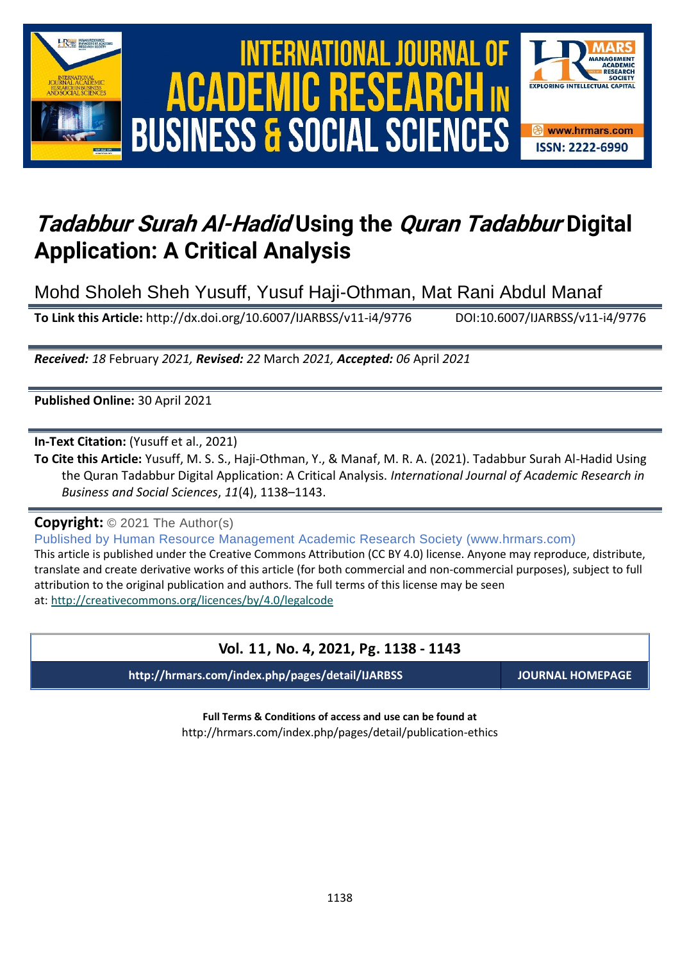



# *Tadabbur Surah Al-Hadid Using the Quran Tadabbur Digital Application: A Critical Analysis*

Mohd Sholeh Sheh Yusuff, Yusuf Haji-Othman, Mat Rani Abdul Manaf

**To Link this Article:** http://dx.doi.org/10.6007/IJARBSS/v11-i4/9776 DOI:10.6007/IJARBSS/v11-i4/9776

*Received: 18* February *2021, Revised: 22* March *2021, Accepted: 06* April *2021*

**Published Online:** 30 April 2021

**In-Text Citation:** (Yusuff et al., 2021)

**To Cite this Article:** Yusuff, M. S. S., Haji-Othman, Y., & Manaf, M. R. A. (2021). Tadabbur Surah Al-Hadid Using the Quran Tadabbur Digital Application: A Critical Analysis. *International Journal of Academic Research in Business and Social Sciences*, *11*(4), 1138–1143.

**Copyright:** © 2021 The Author(s)

Published by Human Resource Management Academic Research Society (www.hrmars.com)

This article is published under the Creative Commons Attribution (CC BY 4.0) license. Anyone may reproduce, distribute, translate and create derivative works of this article (for both commercial and non-commercial purposes), subject to full attribution to the original publication and authors. The full terms of this license may be seen at: <http://creativecommons.org/licences/by/4.0/legalcode>

### **Vol. 11, No. 4, 2021, Pg. 1138 - 1143**

**http://hrmars.com/index.php/pages/detail/IJARBSS JOURNAL HOMEPAGE**

**Full Terms & Conditions of access and use can be found at** http://hrmars.com/index.php/pages/detail/publication-ethics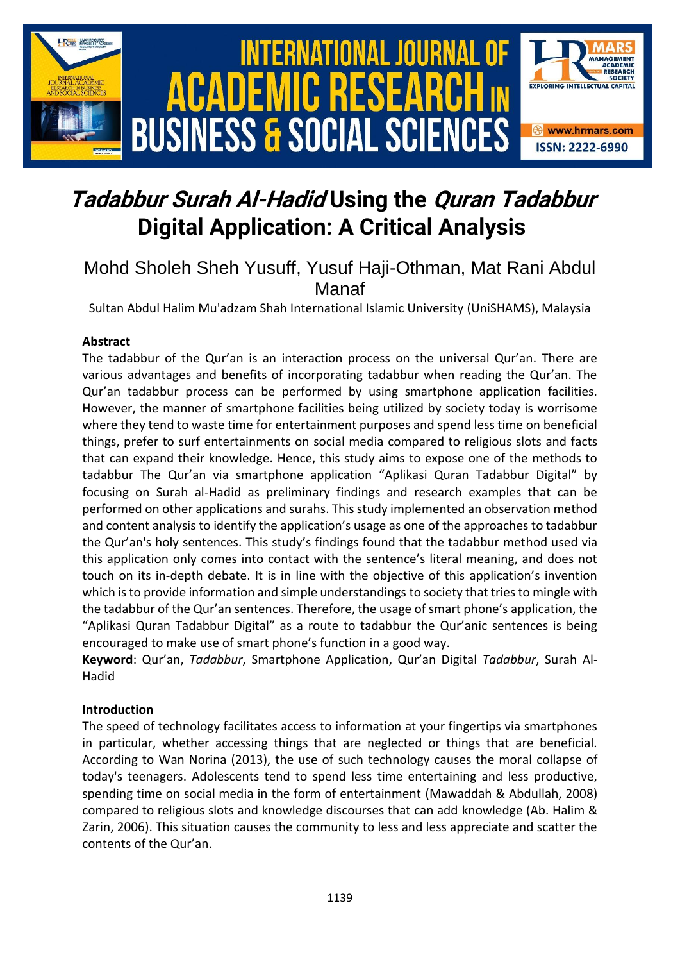

# *Tadabbur Surah Al-Hadid Using the Quran Tadabbur Digital Application: A Critical Analysis*

### Mohd Sholeh Sheh Yusuff, Yusuf Haji-Othman, Mat Rani Abdul Manaf

Sultan Abdul Halim Mu'adzam Shah International Islamic University (UniSHAMS), Malaysia

#### **Abstract**

The tadabbur of the Qur'an is an interaction process on the universal Qur'an. There are various advantages and benefits of incorporating tadabbur when reading the Qur'an. The Qur'an tadabbur process can be performed by using smartphone application facilities. However, the manner of smartphone facilities being utilized by society today is worrisome where they tend to waste time for entertainment purposes and spend less time on beneficial things, prefer to surf entertainments on social media compared to religious slots and facts that can expand their knowledge. Hence, this study aims to expose one of the methods to tadabbur The Qur'an via smartphone application "Aplikasi Quran Tadabbur Digital" by focusing on Surah al-Hadid as preliminary findings and research examples that can be performed on other applications and surahs. This study implemented an observation method and content analysis to identify the application's usage as one of the approaches to tadabbur the Qur'an's holy sentences. This study's findings found that the tadabbur method used via this application only comes into contact with the sentence's literal meaning, and does not touch on its in-depth debate. It is in line with the objective of this application's invention which is to provide information and simple understandings to society that tries to mingle with the tadabbur of the Qur'an sentences. Therefore, the usage of smart phone's application, the "Aplikasi Quran Tadabbur Digital" as a route to tadabbur the Qur'anic sentences is being encouraged to make use of smart phone's function in a good way.

**Keyword**: Qur'an, *Tadabbur*, Smartphone Application, Qur'an Digital *Tadabbur*, Surah Al-Hadid

#### **Introduction**

The speed of technology facilitates access to information at your fingertips via smartphones in particular, whether accessing things that are neglected or things that are beneficial. According to Wan Norina (2013), the use of such technology causes the moral collapse of today's teenagers. Adolescents tend to spend less time entertaining and less productive, spending time on social media in the form of entertainment (Mawaddah & Abdullah, 2008) compared to religious slots and knowledge discourses that can add knowledge (Ab. Halim & Zarin, 2006). This situation causes the community to less and less appreciate and scatter the contents of the Qur'an.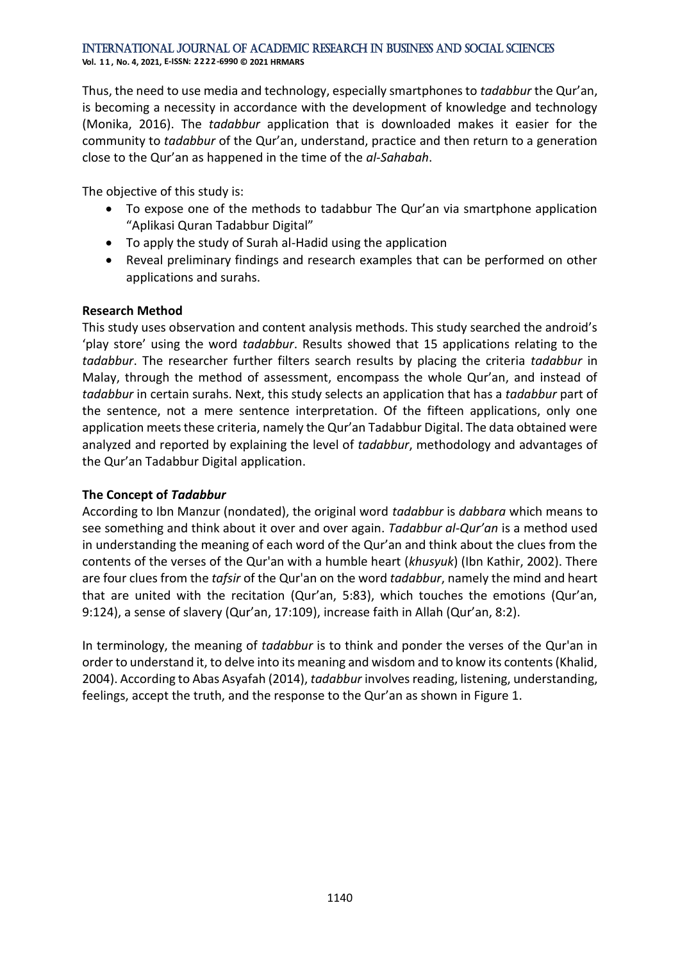**Vol. 1 1 , No. 4, 2021, E-ISSN: 2222-6990 © 2021 HRMARS**

Thus, the need to use media and technology, especially smartphones to *tadabbur* the Qur'an, is becoming a necessity in accordance with the development of knowledge and technology (Monika, 2016). The *tadabbur* application that is downloaded makes it easier for the community to *tadabbur* of the Qur'an, understand, practice and then return to a generation close to the Qur'an as happened in the time of the *al-Sahabah*.

The objective of this study is:

- To expose one of the methods to tadabbur The Qur'an via smartphone application "Aplikasi Quran Tadabbur Digital"
- To apply the study of Surah al-Hadid using the application
- Reveal preliminary findings and research examples that can be performed on other applications and surahs.

#### **Research Method**

This study uses observation and content analysis methods. This study searched the android's 'play store' using the word *tadabbur*. Results showed that 15 applications relating to the *tadabbur*. The researcher further filters search results by placing the criteria *tadabbur* in Malay, through the method of assessment, encompass the whole Qur'an, and instead of *tadabbur* in certain surahs. Next, this study selects an application that has a *tadabbur* part of the sentence, not a mere sentence interpretation. Of the fifteen applications, only one application meets these criteria, namely the Qur'an Tadabbur Digital. The data obtained were analyzed and reported by explaining the level of *tadabbur*, methodology and advantages of the Qur'an Tadabbur Digital application.

#### **The Concept of** *Tadabbur*

According to Ibn Manzur (nondated), the original word *tadabbur* is *dabbara* which means to see something and think about it over and over again. *Tadabbur al-Qur'an* is a method used in understanding the meaning of each word of the Qur'an and think about the clues from the contents of the verses of the Qur'an with a humble heart (*khusyuk*) (Ibn Kathir, 2002). There are four clues from the *tafsir* of the Qur'an on the word *tadabbur*, namely the mind and heart that are united with the recitation (Qur'an, 5:83), which touches the emotions (Qur'an, 9:124), a sense of slavery (Qur'an, 17:109), increase faith in Allah (Qur'an, 8:2).

In terminology, the meaning of *tadabbur* is to think and ponder the verses of the Qur'an in order to understand it, to delve into its meaning and wisdom and to know its contents (Khalid, 2004). According to Abas Asyafah (2014), *tadabbur* involves reading, listening, understanding, feelings, accept the truth, and the response to the Qur'an as shown in Figure 1.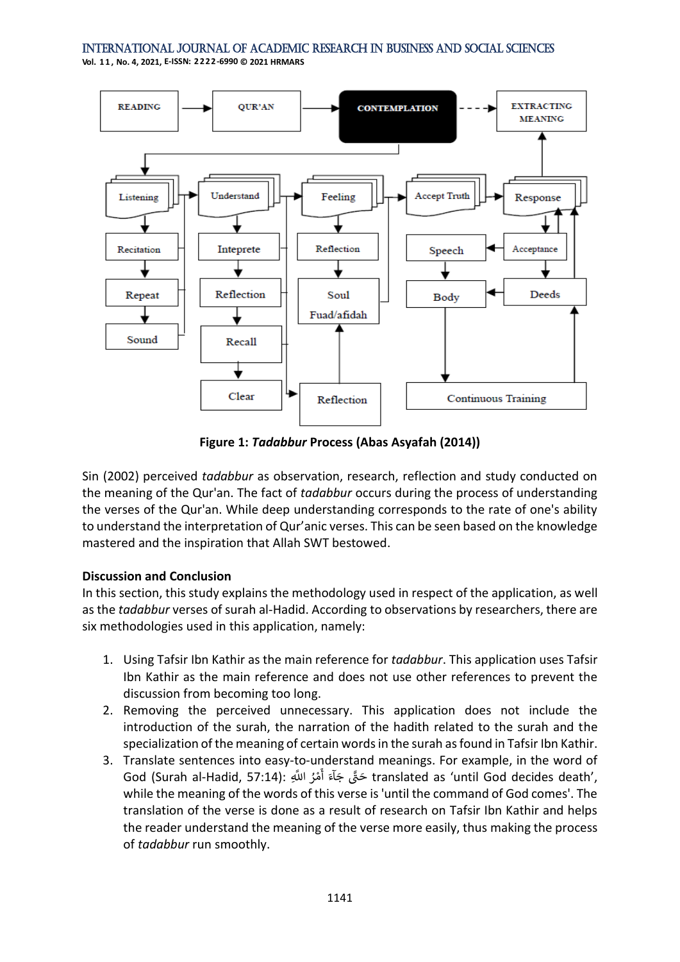**Vol. 1 1 , No. 4, 2021, E-ISSN: 2222-6990 © 2021 HRMARS**



**Figure 1:** *Tadabbur* **Process (Abas Asyafah (2014))**

Sin (2002) perceived *tadabbur* as observation, research, reflection and study conducted on the meaning of the Qur'an. The fact of *tadabbur* occurs during the process of understanding the verses of the Qur'an. While deep understanding corresponds to the rate of one's ability to understand the interpretation of Qur'anic verses. This can be seen based on the knowledge mastered and the inspiration that Allah SWT bestowed.

#### **Discussion and Conclusion**

In this section, this study explains the methodology used in respect of the application, as well as the *tadabbur* verses of surah al-Hadid. According to observations by researchers, there are six methodologies used in this application, namely:

- 1. Using Tafsir Ibn Kathir as the main reference for *tadabbur*. This application uses Tafsir Ibn Kathir as the main reference and does not use other references to prevent the discussion from becoming too long.
- 2. Removing the perceived unnecessary. This application does not include the introduction of the surah, the narration of the hadith related to the surah and the specialization of the meaning of certain words in the surah as found in Tafsir Ibn Kathir.
- 3. Translate sentences into easy-to-understand meanings. For example, in the word of rramslate sentences mile cas, to anacrotana meanings. For example, in the nora or God (Surah al-Hadid, 57:14): ់<br>តំ أ while the meaning of the words of this verse is 'until the command of God comes'. The translation of the verse is done as a result of research on Tafsir Ibn Kathir and helps the reader understand the meaning of the verse more easily, thus making the process of *tadabbur* run smoothly.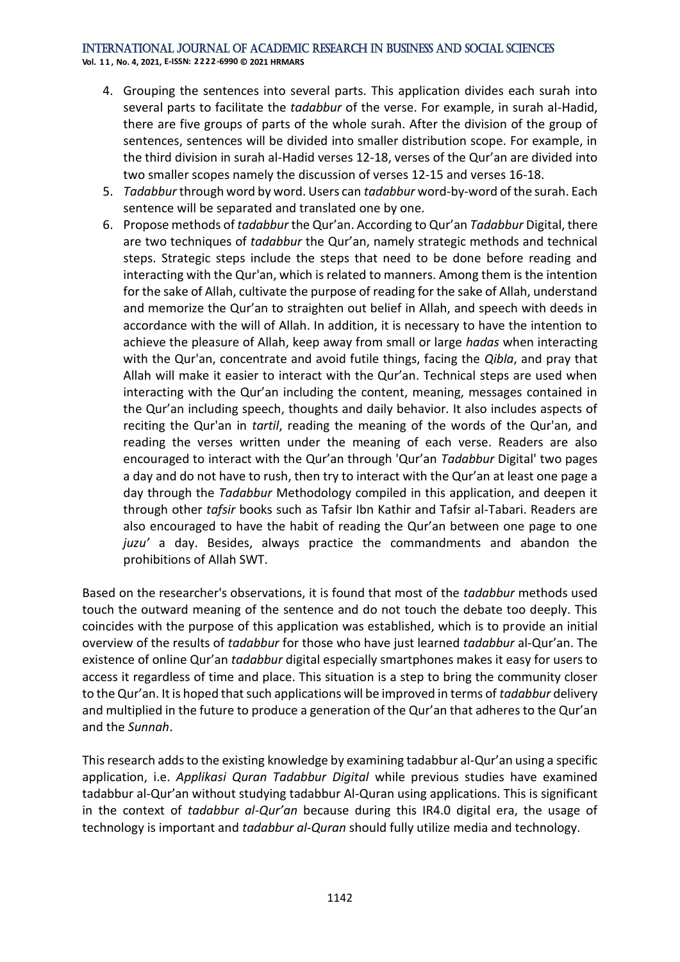**Vol. 1 1 , No. 4, 2021, E-ISSN: 2222-6990 © 2021 HRMARS**

- 4. Grouping the sentences into several parts. This application divides each surah into several parts to facilitate the *tadabbur* of the verse. For example, in surah al-Hadid, there are five groups of parts of the whole surah. After the division of the group of sentences, sentences will be divided into smaller distribution scope. For example, in the third division in surah al-Hadid verses 12-18, verses of the Qur'an are divided into two smaller scopes namely the discussion of verses 12-15 and verses 16-18.
- 5. *Tadabbur* through word by word. Users can *tadabbur* word-by-word of the surah. Each sentence will be separated and translated one by one.
- 6. Propose methods of *tadabbur* the Qur'an. According to Qur'an *Tadabbur* Digital, there are two techniques of *tadabbur* the Qur'an, namely strategic methods and technical steps. Strategic steps include the steps that need to be done before reading and interacting with the Qur'an, which is related to manners. Among them is the intention for the sake of Allah, cultivate the purpose of reading for the sake of Allah, understand and memorize the Qur'an to straighten out belief in Allah, and speech with deeds in accordance with the will of Allah. In addition, it is necessary to have the intention to achieve the pleasure of Allah, keep away from small or large *hadas* when interacting with the Qur'an, concentrate and avoid futile things, facing the *Qibla*, and pray that Allah will make it easier to interact with the Qur'an. Technical steps are used when interacting with the Qur'an including the content, meaning, messages contained in the Qur'an including speech, thoughts and daily behavior. It also includes aspects of reciting the Qur'an in *tartil*, reading the meaning of the words of the Qur'an, and reading the verses written under the meaning of each verse. Readers are also encouraged to interact with the Qur'an through 'Qur'an *Tadabbur* Digital' two pages a day and do not have to rush, then try to interact with the Qur'an at least one page a day through the *Tadabbur* Methodology compiled in this application, and deepen it through other *tafsir* books such as Tafsir Ibn Kathir and Tafsir al-Tabari. Readers are also encouraged to have the habit of reading the Qur'an between one page to one *juzu'* a day. Besides, always practice the commandments and abandon the prohibitions of Allah SWT.

Based on the researcher's observations, it is found that most of the *tadabbur* methods used touch the outward meaning of the sentence and do not touch the debate too deeply. This coincides with the purpose of this application was established, which is to provide an initial overview of the results of *tadabbur* for those who have just learned *tadabbur* al-Qur'an. The existence of online Qur'an *tadabbur* digital especially smartphones makes it easy for users to access it regardless of time and place. This situation is a step to bring the community closer to the Qur'an. It is hoped that such applications will be improved in terms of *tadabbur* delivery and multiplied in the future to produce a generation of the Qur'an that adheres to the Qur'an and the *Sunnah*.

This research adds to the existing knowledge by examining tadabbur al-Qur'an using a specific application, i.e. *Applikasi Quran Tadabbur Digital* while previous studies have examined tadabbur al-Qur'an without studying tadabbur Al-Quran using applications. This is significant in the context of *tadabbur al-Qur'an* because during this IR4.0 digital era, the usage of technology is important and *tadabbur al-Quran* should fully utilize media and technology.